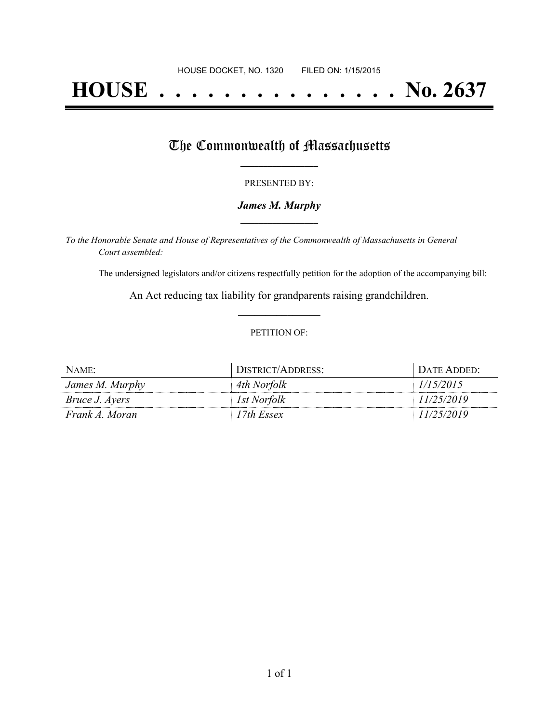# **HOUSE . . . . . . . . . . . . . . . No. 2637**

## The Commonwealth of Massachusetts

#### PRESENTED BY:

#### *James M. Murphy* **\_\_\_\_\_\_\_\_\_\_\_\_\_\_\_\_\_**

*To the Honorable Senate and House of Representatives of the Commonwealth of Massachusetts in General Court assembled:*

The undersigned legislators and/or citizens respectfully petition for the adoption of the accompanying bill:

An Act reducing tax liability for grandparents raising grandchildren. **\_\_\_\_\_\_\_\_\_\_\_\_\_\_\_**

#### PETITION OF:

| $NAME$ :              | DISTRICT/ADDRESS: | DATE ADDED: |
|-----------------------|-------------------|-------------|
| James M. Murphy       | 4th Norfolk       | 1/15/2015   |
| <i>Bruce J. Ayers</i> | 1st Norfolk       | 11/25/2019  |
| Frank A. Moran        | 17th Essex        | 11/25/2019  |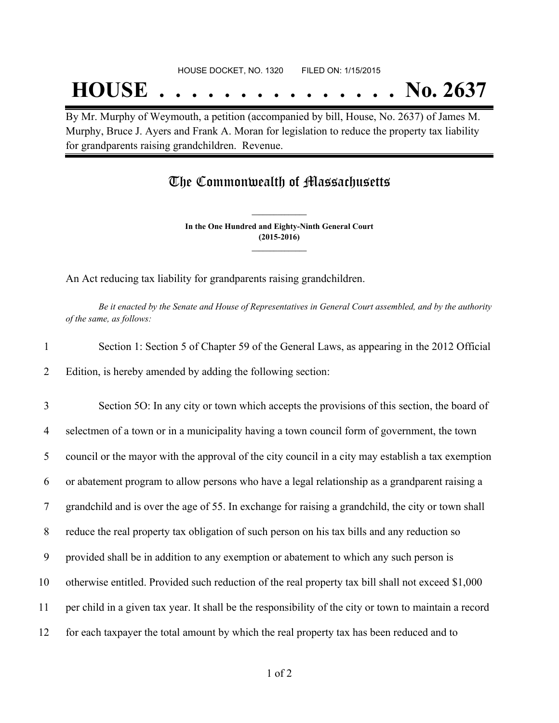## **HOUSE . . . . . . . . . . . . . . . No. 2637**

By Mr. Murphy of Weymouth, a petition (accompanied by bill, House, No. 2637) of James M. Murphy, Bruce J. Ayers and Frank A. Moran for legislation to reduce the property tax liability for grandparents raising grandchildren. Revenue.

### The Commonwealth of Massachusetts

**In the One Hundred and Eighty-Ninth General Court (2015-2016) \_\_\_\_\_\_\_\_\_\_\_\_\_\_\_**

**\_\_\_\_\_\_\_\_\_\_\_\_\_\_\_**

An Act reducing tax liability for grandparents raising grandchildren.

Be it enacted by the Senate and House of Representatives in General Court assembled, and by the authority *of the same, as follows:*

| Section 1: Section 5 of Chapter 59 of the General Laws, as appearing in the 2012 Official |
|-------------------------------------------------------------------------------------------|
| Edition, is hereby amended by adding the following section:                               |

 Section 5O: In any city or town which accepts the provisions of this section, the board of selectmen of a town or in a municipality having a town council form of government, the town council or the mayor with the approval of the city council in a city may establish a tax exemption or abatement program to allow persons who have a legal relationship as a grandparent raising a grandchild and is over the age of 55. In exchange for raising a grandchild, the city or town shall reduce the real property tax obligation of such person on his tax bills and any reduction so provided shall be in addition to any exemption or abatement to which any such person is otherwise entitled. Provided such reduction of the real property tax bill shall not exceed \$1,000 per child in a given tax year. It shall be the responsibility of the city or town to maintain a record for each taxpayer the total amount by which the real property tax has been reduced and to